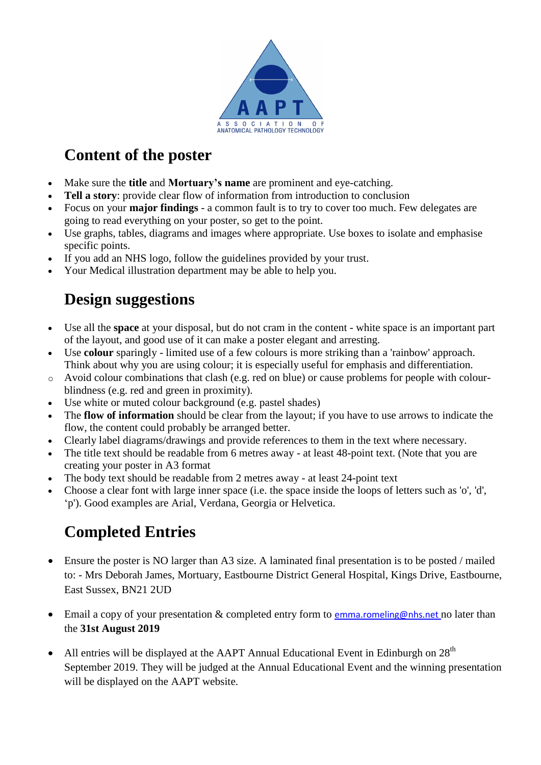

## **Content of the poster**

- Make sure the **title** and **Mortuary's name** are prominent and eye-catching.
- **Tell a story**: provide clear flow of information from introduction to conclusion
- Focus on your **major findings** a common fault is to try to cover too much. Few delegates are going to read everything on your poster, so get to the point.
- Use graphs, tables, diagrams and images where appropriate. Use boxes to isolate and emphasise specific points.
- If you add an NHS logo, follow the guidelines provided by your trust.
- Your Medical illustration department may be able to help you.

## **Design suggestions**

- Use all the **space** at your disposal, but do not cram in the content white space is an important part of the layout, and good use of it can make a poster elegant and arresting.
- Use **colour** sparingly limited use of a few colours is more striking than a 'rainbow' approach. Think about why you are using colour; it is especially useful for emphasis and differentiation.
- o Avoid colour combinations that clash (e.g. red on blue) or cause problems for people with colourblindness (e.g. red and green in proximity).
- Use white or muted colour background (e.g. pastel shades)
- The **flow of information** should be clear from the layout; if you have to use arrows to indicate the flow, the content could probably be arranged better.
- Clearly label diagrams/drawings and provide references to them in the text where necessary.
- The title text should be readable from 6 metres away at least 48-point text. (Note that you are creating your poster in A3 format
- The body text should be readable from 2 metres away at least 24-point text
- Choose a clear font with large inner space (i.e. the space inside the loops of letters such as 'o', 'd', 'p'). Good examples are Arial, Verdana, Georgia or Helvetica.

## **Completed Entries**

- Ensure the poster is NO larger than A3 size. A laminated final presentation is to be posted / mailed to: - Mrs Deborah James, Mortuary, Eastbourne District General Hospital, Kings Drive, Eastbourne, East Sussex, BN21 2UD
- Email a copy of your presentation & completed entry form to [emma.romeling@nhs.net](mailto:emma.romeling@nhs.net) no later than the **31st August 2019**
- All entries will be displayed at the AAPT Annual Educational Event in Edinburgh on  $28<sup>th</sup>$ September 2019. They will be judged at the Annual Educational Event and the winning presentation will be displayed on the AAPT website.